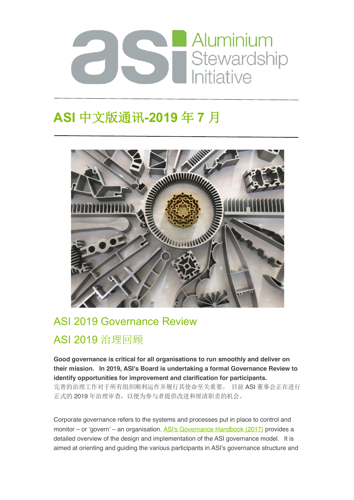

# **ASI** 中文版通讯**-2019** 年 **7** 月



## ASI 2019 Governance Review

## ASI 2019 治理回顾

**Good governance is critical for all organisations to run smoothly and deliver on their mission. In 2019, ASI's Board is undertaking a formal Governance Review to identify opportunities for improvement and clarification for participants.** 完善的治理工作对于所有组织顺利运作并履行其使命至关重要。 目前 ASI 董事会正在进行 正式的 2019 年治理审查,以便为参与者提供改进和厘清职责的机会。

Corporate governance refers to the systems and processes put in place to control and monitor – or 'govern' – an organisation. ASI's Governance Handbook (2017) provides a detailed overview of the design and implementation of the ASI governance model. It is aimed at orienting and guiding the various participants in ASI's governance structure and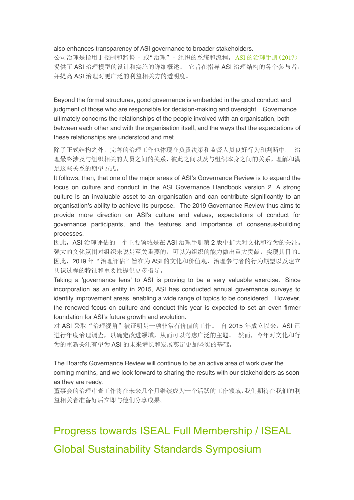#### also enhances transparency of ASI governance to broader stakeholders.

公司治理是指用于控制和监督 - 或"治理"- 组织的系统和流程。ASI 的治理手册(2017) 提供了 ASI 治理模型的设计和实施的详细概述。 它旨在指导 ASI 治理结构的各个参与者, 并提高 ASI 治理对更广泛的利益相关方的透明度。

Beyond the formal structures, good governance is embedded in the good conduct and judgment of those who are responsible for decision-making and oversight. Governance ultimately concerns the relationships of the people involved with an organisation, both between each other and with the organisation itself, and the ways that the expectations of these relationships are understood and met.

除了正式结构之外,完善的治理工作也体现在负责决策和监督人员良好行为和判断中。 治 理最终涉及与组织相关的人员之间的关系,彼此之间以及与组织本身之间的关系,理解和满 足这些关系的期望方式。

It follows, then, that one of the major areas of ASI's Governance Review is to expand the focus on culture and conduct in the ASI Governance Handbook version 2. A strong culture is an invaluable asset to an organisation and can contribute significantly to an organisation's ability to achieve its purpose. The 2019 Governance Review thus aims to provide more direction on ASI's culture and values, expectations of conduct for governance participants, and the features and importance of consensus-building processes.

因此,ASI 治理评估的一个主要领域是在 ASI 治理手册第 2 版中扩大对文化和行为的关注。 强大的文化氛围对组织来说是至关重要的,可以为组织的能力做出重大贡献,实现其目的。 因此, 2019年"治理评估"旨在为 ASI 的文化和价值观, 治理参与者的行为期望以及建立 共识过程的特征和重要性提供更多指导。

Taking a 'governance lens' to ASI is proving to be a very valuable exercise. Since incorporation as an entity in 2015, ASI has conducted annual governance surveys to identify improvement areas, enabling a wide range of topics to be considered. However, the renewed focus on culture and conduct this year is expected to set an even firmer foundation for ASI's future growth and evolution.

对 ASI 采取"治理视角"被证明是一项非常有价值的工作。 自 2015 年成立以来, ASI 已 进行年度治理调查,以确定改进领域,从而可以考虑广泛的主题。 然而,今年对文化和行 为的重新关注有望为 ASI 的未来增长和发展奠定更加坚实的基础。

The Board's Governance Review will continue to be an active area of work over the coming months, and we look forward to sharing the results with our stakeholders as soon as they are ready.

董事会的治理审查工作将在未来几个月继续成为一个活跃的工作领域,我们期待在我们的利 益相关者准备好后立即与他们分享成果。

Progress towards ISEAL Full Membership / ISEAL Global Sustainability Standards Symposium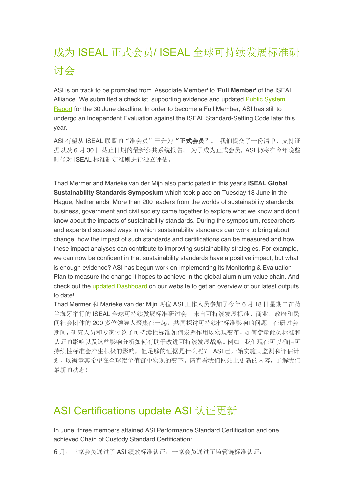# 成为 ISEAL 正式会员/ ISEAL 全球可持续发展标准研 讨会

ASI is on track to be promoted from 'Associate Member' to **'Full Member'** of the ISEAL Alliance. We submitted a checklist, supporting evidence and updated Public System Report for the 30 June deadline. In order to become a Full Member, ASI has still to undergo an Independent Evaluation against the ISEAL Standard-Setting Code later this year.

ASI 有望从 ISEAL 联盟的"准会员"晋升为"正式会员"。我们提交了一份清单、支持证 据以及 6 月 30 日截止日期的最新公共系统报告。为了成为正式会员, ASI 仍将在今年晚些 时候对 ISEAL 标准制定准则进行独立评估。

Thad Mermer and Marieke van der Mijn also participated in this year's **ISEAL Global Sustainability Standards Symposium** which took place on Tuesday 18 June in the Hague, Netherlands. More than 200 leaders from the worlds of sustainability standards, business, government and civil society came together to explore what we know and don't know about the impacts of sustainability standards. During the symposium, researchers and experts discussed ways in which sustainability standards can work to bring about change, how the impact of such standards and certifications can be measured and how these impact analyses can contribute to improving sustainability strategies. For example, we can now be confident in that sustainability standards have a positive impact, but what is enough evidence? ASI has begun work on implementing its Monitoring & Evaluation Plan to measure the change it hopes to achieve in the global aluminium value chain. And check out the updated Dashboard on our website to get an overview of our latest outputs to date!

Thad Mermer 和 Marieke van der Mijn 两位 ASI 工作人员参加了今年 6 月 18 日星期二在荷 兰海牙举行的 ISEAL 全球可持续发展标准研讨会。来自可持续发展标准、商业、政府和民 间社会团体的 200 多位领导人聚集在一起,共同探讨可持续性标准影响的问题。在研讨会 期间,研究人员和专家讨论了可持续性标准如何发挥作用以实现变革,如何衡量此类标准和 认证的影响以及这些影响分析如何有助于改进可持续发展战略。例如,我们现在可以确信可 持续性标准会产生积极的影响,但足够的证据是什么呢? ASI 已开始实施其监测和评估计 划,以衡量其希望在全球铝价值链中实现的变革。请查看我们网站上更新的内容,了解我们 最新的动态!

## ASI Certifications update ASI 认证更新

In June, three members attained ASI Performance Standard Certification and one achieved Chain of Custody Standard Certification:

6 月,三家会员通过了 ASI 绩效标准认证,一家会员通过了监管链标准认证: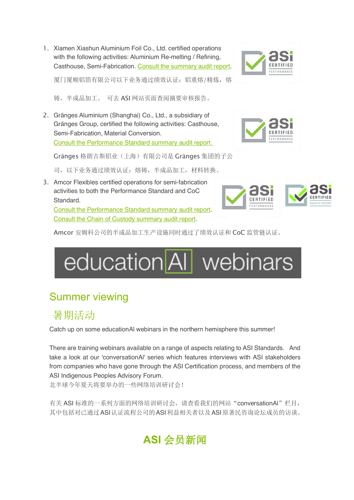1. Xiamen Xiashun Aluminium Foil Co., Ltd. certified operations with the following activities: Aluminium Re-melting / Refining, Casthouse, Semi-Fabrication. Consult the summary audit report.



厦门厦顺铝箔有限公司以下业务通过绩效认证:铝重熔/精炼,熔

铸,半成品加工。 可去 ASI 网站页面查阅摘要审核报告。

2. Gränges Aluminium (Shanghai) Co., Ltd., a subsidiary of Gränges Group, certified the following activities: Casthouse, Semi-Fabrication, Material Conversion. Consult the Performance Standard summary audit report.

Gränges 格朗吉斯铝业(上海)有限公司是 Gränges 集团的子公

司,以下业务通过绩效认证:熔铸,半成品加工,材料转换。

3. Amcor Flexibles certified operations for semi-fabrication activities to both the Performance Standard and CoC Standard.

Consult the Performance Standard summary audit report. Consult the Chain of Custody summary audit report.



Amcor 安姆科公司的半成品加工生产设施同时通过了绩效认证和 CoC 监管链认证。



## Summer viewing

## 暑期活动

Catch up on some educationAl webinars in the northern hemisphere this summer!

There are training webinars available on a range of aspects relating to ASI Standards. And take a look at our 'conversationAl' series which features interviews with ASI stakeholders from companies who have gone through the ASI Certification process, and members of the ASI Indigenous Peoples Advisory Forum.

北半球今年夏天将要举办的一些网络培训研讨会!

有关 ASI 标准的一系列方面的网络培训研讨会,请查看我们的网站"conversationAl"栏目, 其中包括对已通过ASI认证流程公司的ASI利益相关者以及ASI原著民咨询论坛成员的访谈。

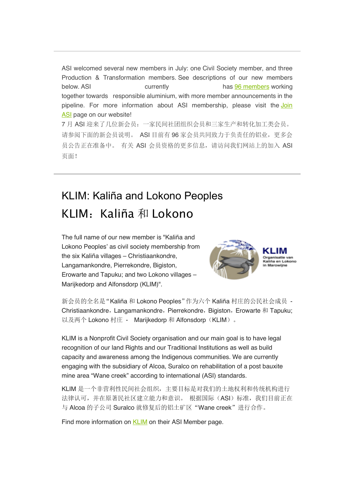ASI welcomed several new members in July: one Civil Society member, and three Production & Transformation members. See descriptions of our new members below. ASI currently has 96 members working together towards responsible aluminium, with more member announcements in the pipeline. For more information about ASI membership, please visit the Join ASI page on our website! 7 月 ASI 迎来了几位新会员:一家民间社团组织会员和三家生产和转化加工类会员。 请参阅下面的新会员说明。 ASI 目前有 96 家会员共同致力于负责任的铝业,更多会 员公告正在准备中。 有关 ASI 会员资格的更多信息,请访问我们网站上的加入 ASI

# KLIM: Kaliña and Lokono Peoples KLIM: Kaliña 和 Lokono

The full name of our new member is "Kaliña and Lokono Peoples' as civil society membership from the six Kaliña villages – Christiaankondre, Langamankondre, Pierrekondre, Bigiston, Erowarte and Tapuku; and two Lokono villages – Marijkedorp and Alfonsdorp (KLIM)".

页面!



新会员的全名是"Kaliña 和 Lokono Peoples"作为六个 Kaliña 村庄的公民社会成员 -Christiaankondre, Langamankondre, Pierrekondre, Bigiston, Erowarte 和 Tapuku; 以及两个 Lokono 村庄 - Marijkedorp 和 Alfonsdorp (KLIM)。

KLIM is a Nonprofit Civil Society organisation and our main goal is to have legal recognition of our land Rights and our Traditional Institutions as well as build capacity and awareness among the Indigenous communities. We are currently engaging with the subsidiary of Alcoa, Suralco on rehabilitation of a post bauxite mine area "Wane creek" according to international (ASI) standards.

KLIM 是一个非营利性民间社会组织,主要目标是对我们的土地权利和传统机构进行 法律认可,并在原著民社区建立能力和意识。根据国际(ASI)标准,我们目前正在 与 Alcoa 的子公司 Suralco 就修复后的铝土矿区"Wane creek"进行合作。

Find more information on **KLIM** on their ASI Member page.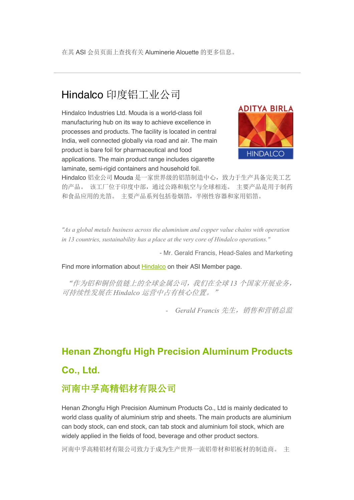#### Hindalco 印度铝工业公司

Hindalco Industries Ltd. Mouda is a world-class foil manufacturing hub on its way to achieve excellence in processes and products. The facility is located in central India, well connected globally via road and air. The main product is bare foil for pharmaceutical and food applications. The main product range includes cigarette laminate, semi-rigid containers and household foil.



Hindalco 铝业公司 Mouda 是一家世界级的铝箔制造中心,致力于生产具备完美工艺 的产品。 该工厂位于印度中部,通过公路和航空与全球相连。 主要产品是用于制药 和食品应用的光箔。 主要产品系列包括卷烟箔,半刚性容器和家用铝箔。

*"As a global metals business across the aluminium and copper value chains with operation in 13 countries, sustainability has a place at the very core of Hindalco operations."*

- Mr. Gerald Francis, Head-Sales and Marketing

Find more information about **Hindalco** on their ASI Member page.

"作为铝和铜价值链上的全球金属公司,我们在全球 *13* 个国家开展业务, 可持续性发展在 *Hindalco* 运营中占有核心位置。"

*- Gerald Francis* 先生,销售和营销总监

# **Henan Zhongfu High Precision Aluminum Products**

#### **Co., Ltd.**

#### 河南中孚高精铝材有限公司

Henan Zhongfu High Precision Aluminum Products Co., Ltd is mainly dedicated to world class quality of aluminium strip and sheets. The main products are aluminium can body stock, can end stock, can tab stock and aluminium foil stock, which are widely applied in the fields of food, beverage and other product sectors.

河南中孚高精铝材有限公司致力于成为生产世界一流铝带材和铝板材的制造商。 主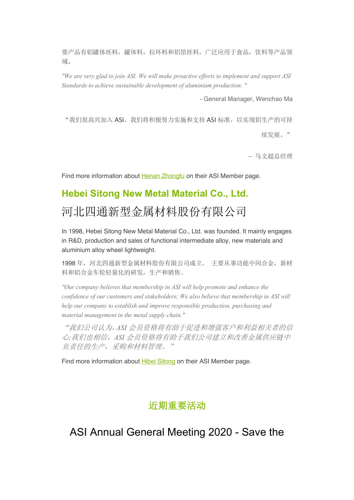要产品有铝罐体坯料,罐体料,拉环料和铝箔坯料,广泛应用于食品,饮料等产品领 域。

*"We are very glad to join ASI. We will make proactive efforts to implement and support ASI Standards to achieve sustainable development of aluminium production. "*

- General Manager, Wenchao Ma

"我们很高兴加入 ASI。我们将积极努力实施和支持 ASI 标准,以实现铝生产的可持

续发展。"

- 马文超总经理

Find more information about Henan Zhongfu on their ASI Member page.

#### **Hebei Sitong New Metal Material Co., Ltd.**

## 河北四通新型金属材料股份有限公司

In 1998, Hebei Sitong New Metal Material Co., Ltd. was founded. It mainly engages in R&D, production and sales of functional intermediate alloy, new materials and aluminium alloy wheel lightweight.

1998 年,河北四通新型金属材料股份有限公司成立。 主要从事功能中间合金,新材 料和铝合金车轮轻量化的研发,生产和销售。

*"Our company believes that membership in ASI will help promote and enhance the confidence of our customers and stakeholders; We also believe that membership in ASI will help our company to establish and improve responsible production, purchasing and material management in the metal supply chain."*

"我们公司认为,*ASI* 会员资格将有助于促进和增强客户和利益相关者的信 心*;*我们也相信,*ASI* 会员资格将有助于我们公司建立和改善金属供应链中 负责任的生产,采购和材料管理。"

Find more information about Hibei Sitong on their ASI Member page.

#### 近期重要活动

ASI Annual General Meeting 2020 - Save the